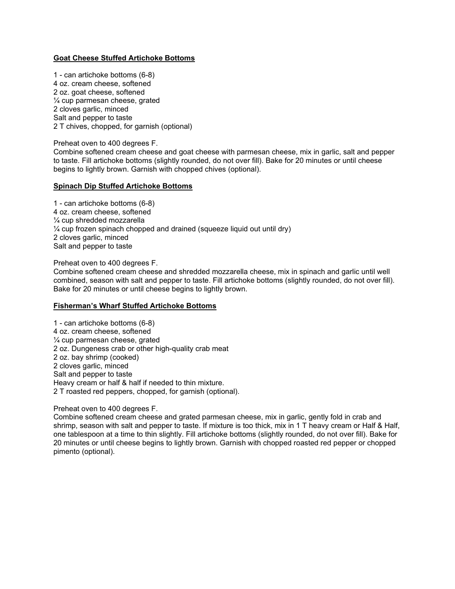## **Goat Cheese Stuffed Artichoke Bottoms**

1 - can artichoke bottoms (6-8) 4 oz. cream cheese, softened 2 oz. goat cheese, softened ¼ cup parmesan cheese, grated 2 cloves garlic, minced Salt and pepper to taste 2 T chives, chopped, for garnish (optional)

Preheat oven to 400 degrees F.

Combine softened cream cheese and goat cheese with parmesan cheese, mix in garlic, salt and pepper to taste. Fill artichoke bottoms (slightly rounded, do not over fill). Bake for 20 minutes or until cheese begins to lightly brown. Garnish with chopped chives (optional).

## **Spinach Dip Stuffed Artichoke Bottoms**

1 - can artichoke bottoms (6-8) 4 oz. cream cheese, softened ¼ cup shredded mozzarella ¼ cup frozen spinach chopped and drained (squeeze liquid out until dry) 2 cloves garlic, minced Salt and pepper to taste

Preheat oven to 400 degrees F.

Combine softened cream cheese and shredded mozzarella cheese, mix in spinach and garlic until well combined, season with salt and pepper to taste. Fill artichoke bottoms (slightly rounded, do not over fill). Bake for 20 minutes or until cheese begins to lightly brown.

## **Fisherman's Wharf Stuffed Artichoke Bottoms**

1 - can artichoke bottoms (6-8) 4 oz. cream cheese, softened ¼ cup parmesan cheese, grated 2 oz. Dungeness crab or other high-quality crab meat 2 oz. bay shrimp (cooked) 2 cloves garlic, minced Salt and pepper to taste Heavy cream or half & half if needed to thin mixture. 2 T roasted red peppers, chopped, for garnish (optional).

Preheat oven to 400 degrees F.

Combine softened cream cheese and grated parmesan cheese, mix in garlic, gently fold in crab and shrimp, season with salt and pepper to taste. If mixture is too thick, mix in 1 T heavy cream or Half & Half, one tablespoon at a time to thin slightly. Fill artichoke bottoms (slightly rounded, do not over fill). Bake for 20 minutes or until cheese begins to lightly brown. Garnish with chopped roasted red pepper or chopped pimento (optional).